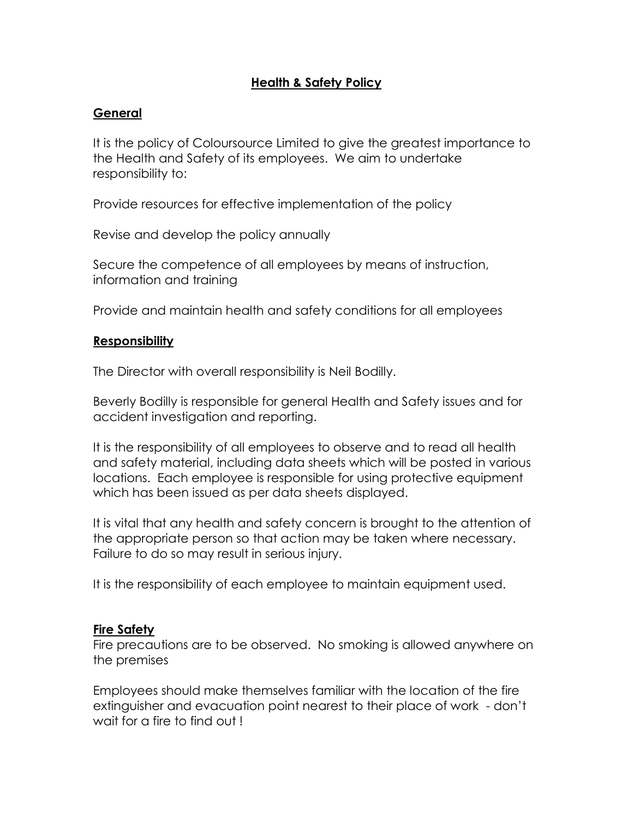# **Health & Safety Policy**

### **General**

It is the policy of Coloursource Limited to give the greatest importance to the Health and Safety of its employees. We aim to undertake responsibility to:

Provide resources for effective implementation of the policy

Revise and develop the policy annually

Secure the competence of all employees by means of instruction, information and training

Provide and maintain health and safety conditions for all employees

#### **Responsibility**

The Director with overall responsibility is Neil Bodilly.

Beverly Bodilly is responsible for general Health and Safety issues and for accident investigation and reporting.

It is the responsibility of all employees to observe and to read all health and safety material, including data sheets which will be posted in various locations. Each employee is responsible for using protective equipment which has been issued as per data sheets displayed.

It is vital that any health and safety concern is brought to the attention of the appropriate person so that action may be taken where necessary. Failure to do so may result in serious injury.

It is the responsibility of each employee to maintain equipment used.

#### **Fire Safety**

Fire precautions are to be observed. No smoking is allowed anywhere on the premises

Employees should make themselves familiar with the location of the fire extinguisher and evacuation point nearest to their place of work - don't wait for a fire to find out !